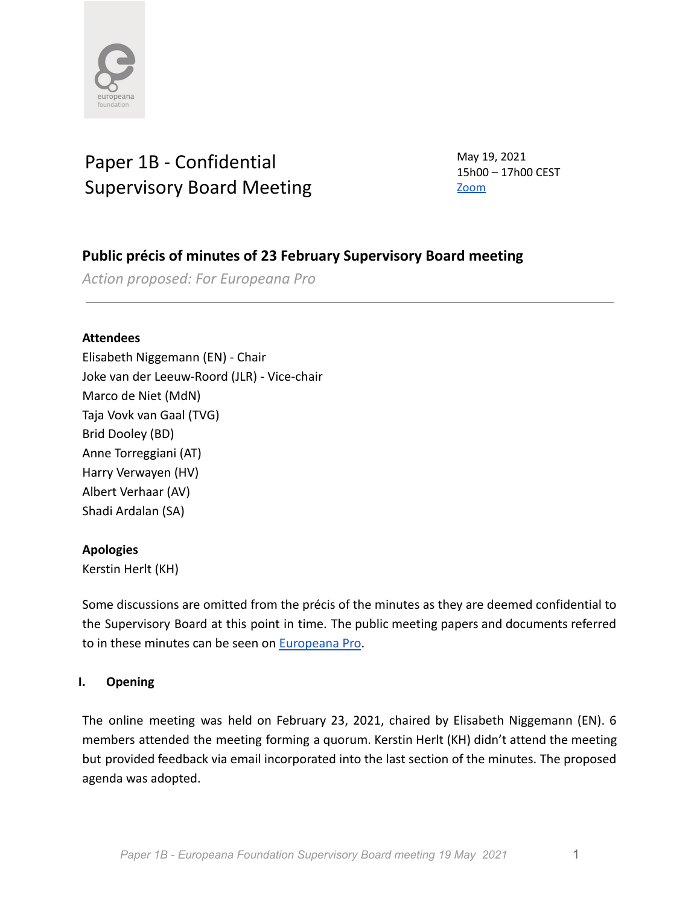

# Paper 1B - Confidential Supervisory Board Meeting

May 19, 2021 15h00 – 17h00 CEST [Zoom](https://zoom.us/j/99630450607)

## **Public précis of minutes of 23 February Supervisory Board meeting**

*Action proposed: For Europeana Pro*

## **Attendees**

Elisabeth Niggemann (EN) - Chair Joke van der Leeuw-Roord (JLR) - Vice-chair Marco de Niet (MdN) Taja Vovk van Gaal (TVG) Brid Dooley (BD) Anne Torreggiani (AT) Harry Verwayen (HV) Albert Verhaar (AV) Shadi Ardalan (SA)

## **Apologies**

Kerstin Herlt (KH)

Some discussions are omitted from the précis of the minutes as they are deemed confidential to the Supervisory Board at this point in time. The public meeting papers and documents referred to in these minutes can be seen on [Europeana Pro](https://pro.europeana.eu/about-us/foundation).

## **I. Opening**

The online meeting was held on February 23, 2021, chaired by Elisabeth Niggemann (EN). 6 members attended the meeting forming a quorum. Kerstin Herlt (KH) didn't attend the meeting but provided feedback via email incorporated into the last section of the minutes. The proposed agenda was adopted.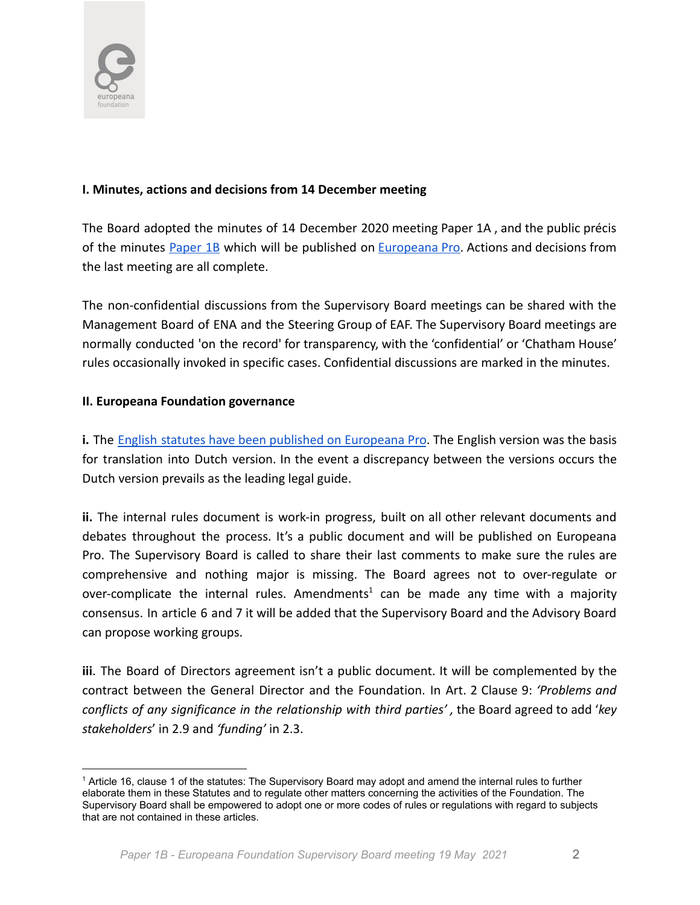

## **I. Minutes, actions and decisions from 14 December meeting**

The Board adopted the minutes of 14 December 2020 meeting Paper 1A , and the public précis of the minutes **[Paper](https://docs.google.com/document/d/1qxsJbTocmUr5aroHWIV__D6xGRi-LpNrsz64gi-epn0/edit) 1B** which will be published on **[Europeana](https://pro.europeana.eu/about-us/foundation) Pro.** Actions and decisions from the last meeting are all complete.

The non-confidential discussions from the Supervisory Board meetings can be shared with the Management Board of ENA and the Steering Group of EAF. The Supervisory Board meetings are normally conducted 'on the record' for transparency, with the 'confidential' or 'Chatham House' rules occasionally invoked in specific cases. Confidential discussions are marked in the minutes.

## **II. Europeana Foundation governance**

**i.** The English statutes have been published on [Europeana](https://pro.europeana.eu/files/Europeana_Professional/Governing_Board/1.%20Statutes/Europeana-Foundation-Statutes-English-2020.pdf) Pro. The English version was the basis for translation into Dutch version. In the event a discrepancy between the versions occurs the Dutch version prevails as the leading legal guide.

**ii.** The internal rules document is work-in progress, built on all other relevant documents and debates throughout the process. It's a public document and will be published on Europeana Pro. The Supervisory Board is called to share their last comments to make sure the rules are comprehensive and nothing major is missing. The Board agrees not to over-regulate or over-complicate the internal rules. Amendments<sup>1</sup> can be made any time with a majority consensus. In article 6 and 7 it will be added that the Supervisory Board and the Advisory Board can propose working groups.

**iii**. The Board of Directors agreement isn't a public document. It will be complemented by the contract between the General Director and the Foundation. In Art. 2 Clause 9: *'Problems and conflicts of any significance in the relationship with third parties' ,* the Board agreed to add '*key stakeholders*' in 2.9 and *'funding'* in 2.3.

<sup>1</sup> Article 16, clause 1 of the statutes: The Supervisory Board may adopt and amend the internal rules to further elaborate them in these Statutes and to regulate other matters concerning the activities of the Foundation. The Supervisory Board shall be empowered to adopt one or more codes of rules or regulations with regard to subjects that are not contained in these articles.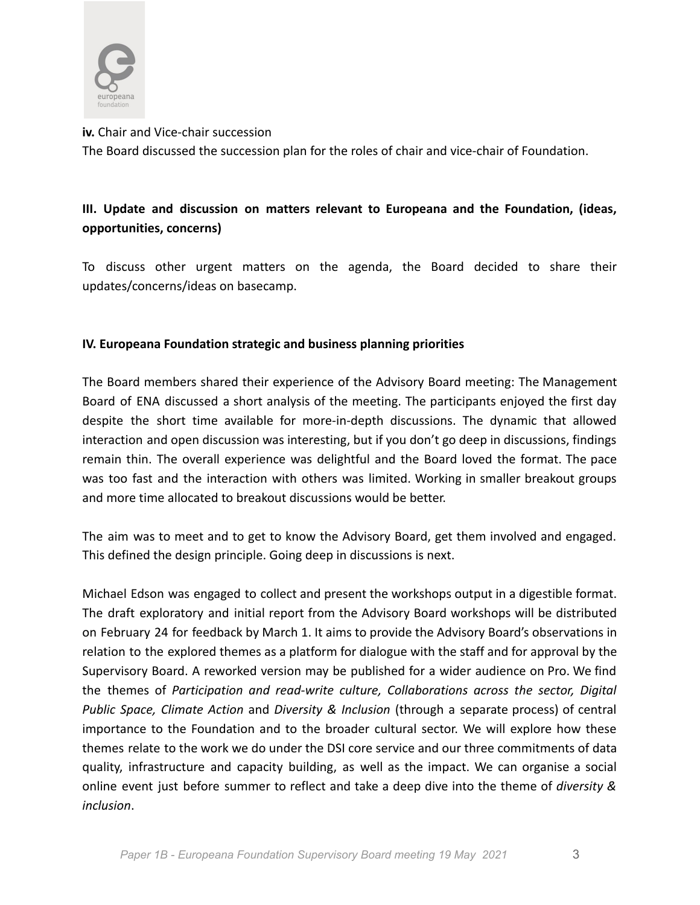

**iv.** Chair and Vice-chair succession

The Board discussed the succession plan for the roles of chair and vice-chair of Foundation.

## **III. Update and discussion on matters relevant to Europeana and the Foundation, (ideas, opportunities, concerns)**

To discuss other urgent matters on the agenda, the Board decided to share their updates/concerns/ideas on basecamp.

## **IV. Europeana Foundation strategic and business planning priorities**

The Board members shared their experience of the Advisory Board meeting: The Management Board of ENA discussed a short analysis of the meeting. The participants enjoyed the first day despite the short time available for more-in-depth discussions. The dynamic that allowed interaction and open discussion was interesting, but if you don't go deep in discussions, findings remain thin. The overall experience was delightful and the Board loved the format. The pace was too fast and the interaction with others was limited. Working in smaller breakout groups and more time allocated to breakout discussions would be better.

The aim was to meet and to get to know the Advisory Board, get them involved and engaged. This defined the design principle. Going deep in discussions is next.

Michael Edson was engaged to collect and present the workshops output in a digestible format. The draft exploratory and initial report from the Advisory Board workshops will be distributed on February 24 for feedback by March 1. It aims to provide the Advisory Board's observations in relation to the explored themes as a platform for dialogue with the staff and for approval by the Supervisory Board. A reworked version may be published for a wider audience on Pro. We find the themes of *Participation and read-write culture, Collaborations across the sector, Digital Public Space, Climate Action* and *Diversity & Inclusion* (through a separate process) of central importance to the Foundation and to the broader cultural sector. We will explore how these themes relate to the work we do under the DSI core service and our three commitments of data quality, infrastructure and capacity building, as well as the impact. We can organise a social online event just before summer to reflect and take a deep dive into the theme of *diversity & inclusion*.